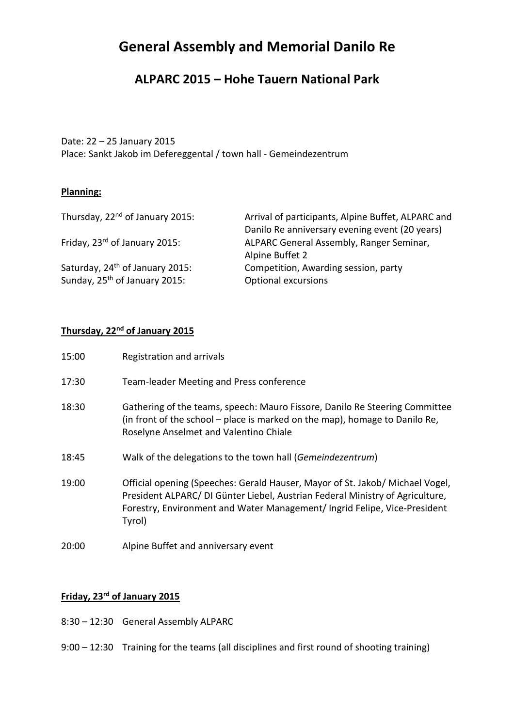# **General Assembly and Memorial Danilo Re**

### **ALPARC 2015 – Hohe Tauern National Park**

Date: 22 – 25 January 2015

Place: Sankt Jakob im Defereggental / town hall - Gemeindezentrum

#### **Planning:**

| Thursday, 22 <sup>nd</sup> of January 2015: | Arrival of participants, Alpine Buffet, ALPARC and |
|---------------------------------------------|----------------------------------------------------|
|                                             | Danilo Re anniversary evening event (20 years)     |
| Friday, 23rd of January 2015:               | ALPARC General Assembly, Ranger Seminar,           |
|                                             | Alpine Buffet 2                                    |
| Saturday, 24 <sup>th</sup> of January 2015: | Competition, Awarding session, party               |
| Sunday, 25 <sup>th</sup> of January 2015:   | Optional excursions                                |

#### **Thursday, 22nd of January 2015**

| 15:00 | Registration and arrivals                                                                                                                                                                                                                             |
|-------|-------------------------------------------------------------------------------------------------------------------------------------------------------------------------------------------------------------------------------------------------------|
| 17:30 | Team-leader Meeting and Press conference                                                                                                                                                                                                              |
| 18:30 | Gathering of the teams, speech: Mauro Fissore, Danilo Re Steering Committee<br>(in front of the school – place is marked on the map), homage to Danilo Re,<br>Roselyne Anselmet and Valentino Chiale                                                  |
| 18:45 | Walk of the delegations to the town hall (Gemeindezentrum)                                                                                                                                                                                            |
| 19:00 | Official opening (Speeches: Gerald Hauser, Mayor of St. Jakob/ Michael Vogel,<br>President ALPARC/ DI Günter Liebel, Austrian Federal Ministry of Agriculture,<br>Forestry, Environment and Water Management/ Ingrid Felipe, Vice-President<br>Tyrol) |
| 20:00 | Alpine Buffet and anniversary event                                                                                                                                                                                                                   |

### **Friday, 23rd of January 2015**

- 8:30 12:30 General Assembly ALPARC
- 9:00 12:30 Training for the teams (all disciplines and first round of shooting training)